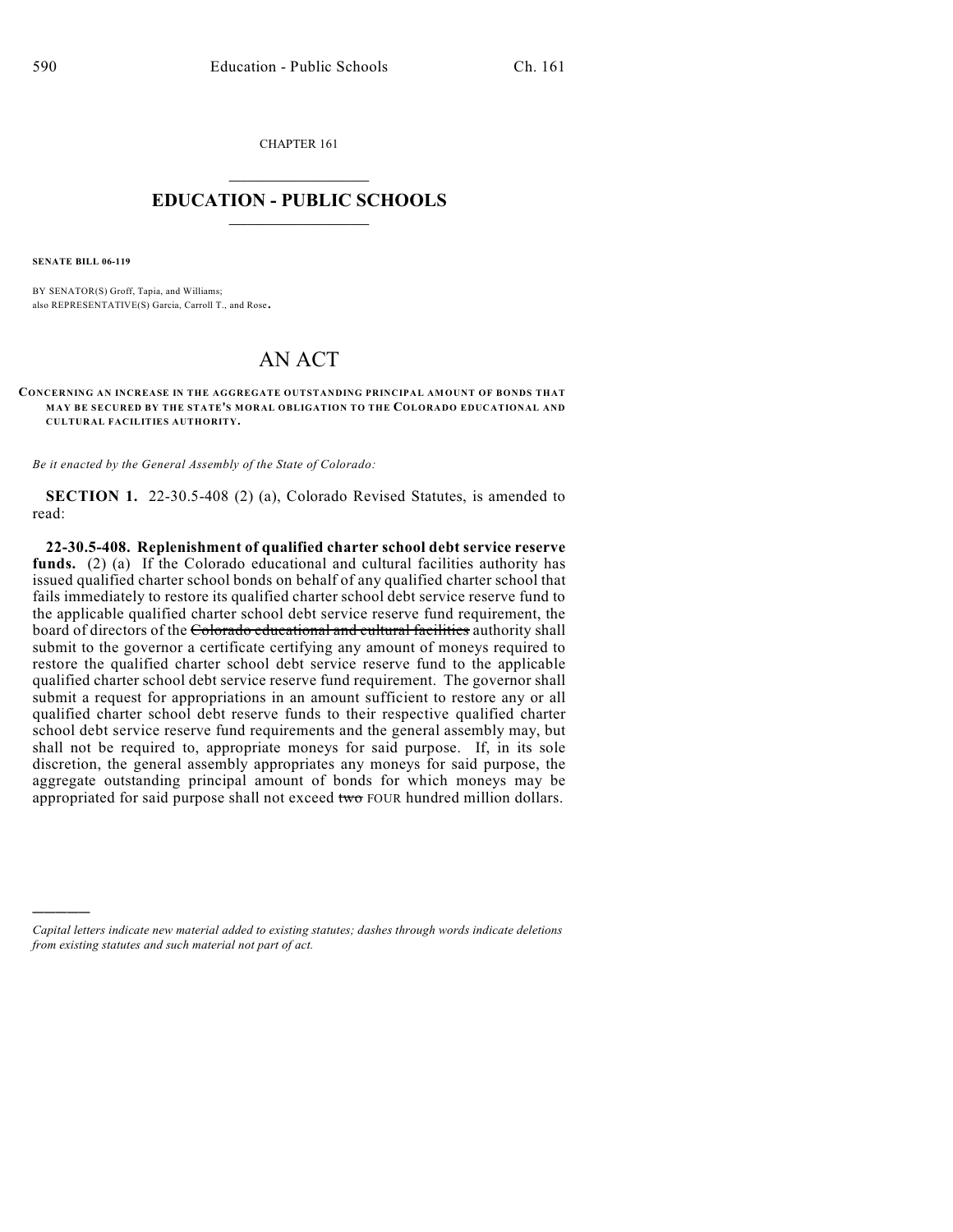CHAPTER 161  $\mathcal{L}_\text{max}$  . The set of the set of the set of the set of the set of the set of the set of the set of the set of the set of the set of the set of the set of the set of the set of the set of the set of the set of the set

## **EDUCATION - PUBLIC SCHOOLS**  $\_$   $\_$   $\_$   $\_$   $\_$   $\_$   $\_$   $\_$   $\_$

**SENATE BILL 06-119**

)))))

BY SENATOR(S) Groff, Tapia, and Williams; also REPRESENTATIVE(S) Garcia, Carroll T., and Rose.

## AN ACT

**CONCERNING AN INCREASE IN THE AGGREGATE OUTSTANDING PRINCIPAL AMOUNT OF BONDS THAT MAY BE SECURED BY THE STATE'S MORAL OBLIGATION TO THE COLORADO EDUCATIONAL AND CULTURAL FACILITIES AUTHORITY.**

*Be it enacted by the General Assembly of the State of Colorado:*

**SECTION 1.** 22-30.5-408 (2) (a), Colorado Revised Statutes, is amended to read:

**22-30.5-408. Replenishment of qualified charter school debt service reserve** funds. (2) (a) If the Colorado educational and cultural facilities authority has issued qualified charter school bonds on behalf of any qualified charter school that fails immediately to restore its qualified charter school debt service reserve fund to the applicable qualified charter school debt service reserve fund requirement, the board of directors of the Colorado educational and cultural facilities authority shall submit to the governor a certificate certifying any amount of moneys required to restore the qualified charter school debt service reserve fund to the applicable qualified charter school debt service reserve fund requirement. The governor shall submit a request for appropriations in an amount sufficient to restore any or all qualified charter school debt reserve funds to their respective qualified charter school debt service reserve fund requirements and the general assembly may, but shall not be required to, appropriate moneys for said purpose. If, in its sole discretion, the general assembly appropriates any moneys for said purpose, the aggregate outstanding principal amount of bonds for which moneys may be appropriated for said purpose shall not exceed two FOUR hundred million dollars.

*Capital letters indicate new material added to existing statutes; dashes through words indicate deletions from existing statutes and such material not part of act.*